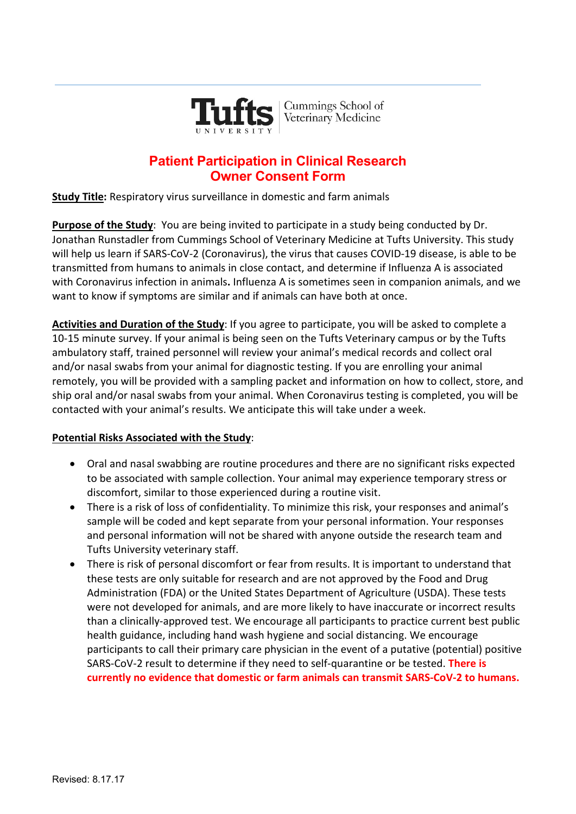

## **Patient Participation in Clinical Research Owner Consent Form**

**Study Title:** Respiratory virus surveillance in domestic and farm animals

**Purpose of the Study**: You are being invited to participate in a study being conducted by Dr. Jonathan Runstadler from Cummings School of Veterinary Medicine at Tufts University. This study will help us learn if SARS-CoV-2 (Coronavirus), the virus that causes COVID-19 disease, is able to be transmitted from humans to animals in close contact, and determine if Influenza A is associated with Coronavirus infection in animals**.** Influenza A is sometimes seen in companion animals, and we want to know if symptoms are similar and if animals can have both at once.

**Activities and Duration of the Study**: If you agree to participate, you will be asked to complete a 10-15 minute survey. If your animal is being seen on the Tufts Veterinary campus or by the Tufts ambulatory staff, trained personnel will review your animal's medical records and collect oral and/or nasal swabs from your animal for diagnostic testing. If you are enrolling your animal remotely, you will be provided with a sampling packet and information on how to collect, store, and ship oral and/or nasal swabs from your animal. When Coronavirus testing is completed, you will be contacted with your animal's results. We anticipate this will take under a week.

## **Potential Risks Associated with the Study**:

- Oral and nasal swabbing are routine procedures and there are no significant risks expected to be associated with sample collection. Your animal may experience temporary stress or discomfort, similar to those experienced during a routine visit.
- There is a risk of loss of confidentiality. To minimize this risk, your responses and animal's sample will be coded and kept separate from your personal information. Your responses and personal information will not be shared with anyone outside the research team and Tufts University veterinary staff.
- There is risk of personal discomfort or fear from results. It is important to understand that these tests are only suitable for research and are not approved by the Food and Drug Administration (FDA) or the United States Department of Agriculture (USDA). These tests were not developed for animals, and are more likely to have inaccurate or incorrect results than a clinically-approved test. We encourage all participants to practice current best public health guidance, including hand wash hygiene and social distancing. We encourage participants to call their primary care physician in the event of a putative (potential) positive SARS-CoV-2 result to determine if they need to self-quarantine or be tested. **There is currently no evidence that domestic or farm animals can transmit SARS-CoV-2 to humans.**